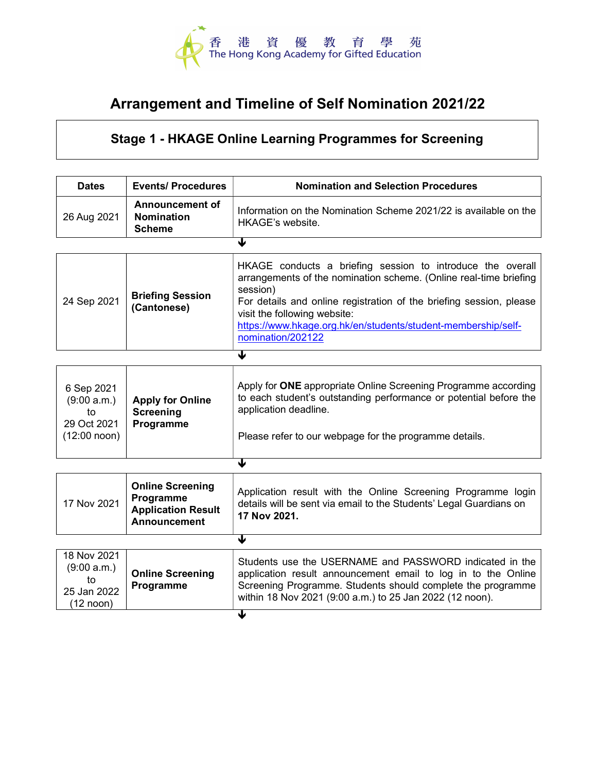

## Arrangement and Timeline of Self Nomination 2021/22

## Stage 1 - HKAGE Online Learning Programmes for Screening

| <b>Dates</b>                                                           | <b>Events/ Procedures</b>                                                                | <b>Nomination and Selection Procedures</b>                                                                                                                                                                                                                                                                                               |  |
|------------------------------------------------------------------------|------------------------------------------------------------------------------------------|------------------------------------------------------------------------------------------------------------------------------------------------------------------------------------------------------------------------------------------------------------------------------------------------------------------------------------------|--|
| 26 Aug 2021                                                            | <b>Announcement of</b><br><b>Nomination</b><br><b>Scheme</b>                             | Information on the Nomination Scheme 2021/22 is available on the<br><b>HKAGE's website.</b>                                                                                                                                                                                                                                              |  |
| €                                                                      |                                                                                          |                                                                                                                                                                                                                                                                                                                                          |  |
| 24 Sep 2021                                                            | <b>Briefing Session</b><br>(Cantonese)                                                   | HKAGE conducts a briefing session to introduce the overall<br>arrangements of the nomination scheme. (Online real-time briefing<br>session)<br>For details and online registration of the briefing session, please<br>visit the following website:<br>https://www.hkage.org.hk/en/students/student-membership/self-<br>nomination/202122 |  |
| ↓                                                                      |                                                                                          |                                                                                                                                                                                                                                                                                                                                          |  |
| 6 Sep 2021<br>(9:00 a.m.)<br>to<br>29 Oct 2021<br>$(12:00$ noon)       | <b>Apply for Online</b><br><b>Screening</b><br>Programme                                 | Apply for ONE appropriate Online Screening Programme according<br>to each student's outstanding performance or potential before the<br>application deadline.<br>Please refer to our webpage for the programme details.                                                                                                                   |  |
| €                                                                      |                                                                                          |                                                                                                                                                                                                                                                                                                                                          |  |
| 17 Nov 2021                                                            | <b>Online Screening</b><br>Programme<br><b>Application Result</b><br><b>Announcement</b> | Application result with the Online Screening Programme login<br>details will be sent via email to the Students' Legal Guardians on<br>17 Nov 2021.                                                                                                                                                                                       |  |
| $\blacktriangledown$                                                   |                                                                                          |                                                                                                                                                                                                                                                                                                                                          |  |
| 18 Nov 2021<br>(9:00 a.m.)<br>to<br>25 Jan 2022<br>$(12 \text{ noon})$ | <b>Online Screening</b><br>Programme                                                     | Students use the USERNAME and PASSWORD indicated in the<br>application result announcement email to log in to the Online<br>Screening Programme. Students should complete the programme<br>within 18 Nov 2021 (9:00 a.m.) to 25 Jan 2022 (12 noon).                                                                                      |  |
|                                                                        |                                                                                          | ↓                                                                                                                                                                                                                                                                                                                                        |  |